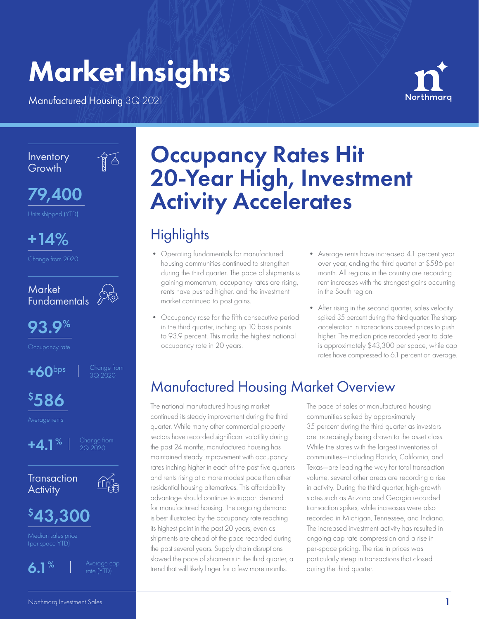# Market Insights

Manufactured Housing 3Q 2021



Inventory **Growth** 

 $\mathbb{Z}^2$ 



+14%

Change from 2020

**Market** Fundamentals



93.9%

 $+60$ bps  $\vert$  Change from

 $$586$ 









Median sales price



# Occupancy Rates Hit 20-Year High, Investment Activity Accelerates

# **Highlights**

- Operating fundamentals for manufactured housing communities continued to strengthen during the third quarter. The pace of shipments is gaining momentum, occupancy rates are rising, rents have pushed higher, and the investment market continued to post gains.
- Occupancy rose for the fifth consecutive period in the third quarter, inching up 10 basis points to 93.9 percent. This marks the highest national occupancy rate in 20 years.
- Average rents have increased 4.1 percent year over year, ending the third quarter at \$586 per month. All regions in the country are recording rent increases with the strongest gains occurring in the South region.
- After rising in the second quarter, sales velocity spiked 35 percent during the third quarter. The sharp acceleration in transactions caused prices to push higher. The median price recorded year to date is approximately \$43,300 per space, while cap rates have compressed to 6.1 percent on average.

# Manufactured Housing Market Overview

The national manufactured housing market continued its steady improvement during the third quarter. While many other commercial property sectors have recorded significant volatility during the past 24 months, manufactured housing has maintained steady improvement with occupancy rates inching higher in each of the past five quarters and rents rising at a more modest pace than other residential housing alternatives. This affordability advantage should continue to support demand for manufactured housing. The ongoing demand is best illustrated by the occupancy rate reaching its highest point in the past 20 years, even as shipments are ahead of the pace recorded during the past several years. Supply chain disruptions slowed the pace of shipments in the third quarter, a trend that will likely linger for a few more months.

The pace of sales of manufactured housing communities spiked by approximately 35 percent during the third quarter as investors are increasingly being drawn to the asset class. While the states with the largest inventories of communities—including Florida, California, and Texas—are leading the way for total transaction volume, several other areas are recording a rise in activity. During the third quarter, high-growth states such as Arizona and Georgia recorded transaction spikes, while increases were also recorded in Michigan, Tennessee, and Indiana. The increased investment activity has resulted in ongoing cap rate compression and a rise in per-space pricing. The rise in prices was particularly steep in transactions that closed during the third quarter.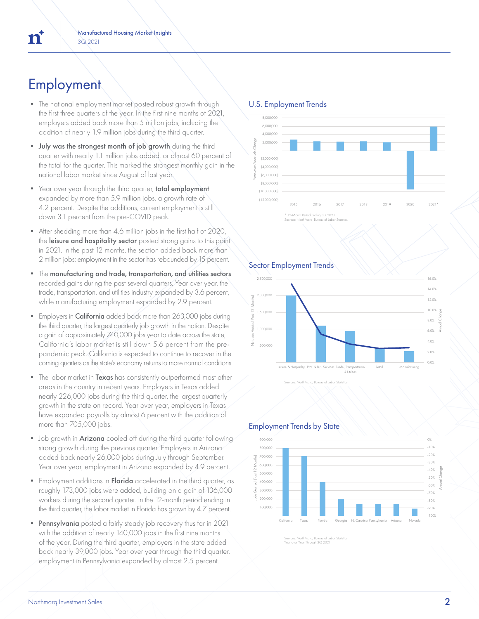# **Employment**

- The national employment market posted robust growth through the first three quarters of the year. In the first nine months of 2021, employers added back more than 5 million jobs, including the addition of nearly 1.9 million jobs during the third quarter.
- July was the strongest month of job growth during the third quarter with nearly 1.1 million jobs added, or almost 60 percent of the total for the quarter. This marked the strongest monthly gain in the national labor market since August of last year.
- Year over year through the third quarter, total employment expanded by more than 5.9 million jobs, a growth rate of 4.2 percent. Despite the additions, current employment is still down 3.1 percent from the pre-COVID peak.
- After shedding more than 4.6 million jobs in the first half of 2020, the leisure and hospitality sector posted strong gains to this point in 2021. In the past 12 months, the section added back more than 2 million jobs; employment in the sector has rebounded by 15 percent.
- The manufacturing and trade, transportation, and utilities sectors recorded gains during the past several quarters. Year over year, the trade, transportation, and utilities industry expanded by 3.6 percent, while manufacturing employment expanded by 2.9 percent.
- Employers in **California** added back more than 263,000 jobs during the third quarter, the largest quarterly job growth in the nation. Despite a gain of approximately 740,000 jobs year to date across the state, California's labor market is still down 5.6 percent from the prepandemic peak. California is expected to continue to recover in the coming quarters as the state's economy returns to more normal conditions.
- The labor market in Texas has consistently outperformed most other areas in the country in recent years. Employers in Texas added nearly 226,000 jobs during the third quarter, the largest quarterly growth in the state on record. Year over year, employers in Texas have expanded payrolls by almost 6 percent with the addition of more than 705,000 jobs.
- Job growth in **Arizona** cooled off during the third quarter following strong growth during the previous quarter. Employers in Arizona added back nearly 26,000 jobs during July through September. Year over year, employment in Arizona expanded by 4.9 percent.
- Employment additions in Florida accelerated in the third quarter, as roughly 173,000 jobs were added, building on a gain of 136,000 workers during the second quarter. In the 12-month period ending in the third quarter, the labor market in Florida has grown by 4.7 percent.
- Pennsylvania posted a fairly steady job recovery thus far in 2021 with the addition of nearly 140,000 jobs in the first nine months of the year. During the third quarter, employers in the state added back nearly 39,000 jobs. Year over year through the third quarter, employment in Pennsylvania expanded by almost 2.5 percent.

### U.S. Employment Trends



#### Sector Employment Trends





### Employment Trends by State



rces: NorthMarq, Bureau of Labo Year over Year Through 3Q 2021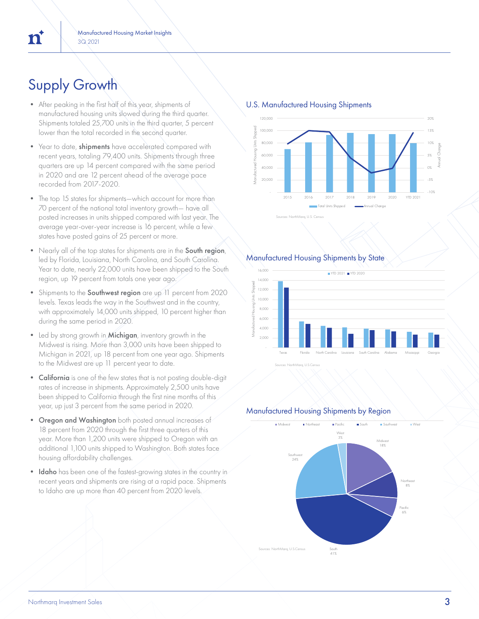# Supply Growth

 $\mathbf{n}$ 

- After peaking in the first half of this year, shipments of manufactured housing units slowed during the third quarter. Shipments totaled 25,700 units in the third quarter, 5 percent lower than the total recorded in the second quarter.
- Year to date, shipments have accelerated compared with recent years, totaling 79,400 units. Shipments through three quarters are up 14 percent compared with the same period in 2020 and are 12 percent ahead of the average pace recorded from 2017-2020.
- The top 15 states for shipments—which account for more than 70 percent of the national total inventory growth— have all posted increases in units shipped compared with last year. The average year-over-year increase is 16 percent, while a few states have posted gains of 25 percent or more.
- Nearly all of the top states for shipments are in the South region, led by Florida, Louisiana, North Carolina, and South Carolina. Year to date, nearly 22,000 units have been shipped to the South region, up 19 percent from totals one year ago.
- Shipments to the **Southwest region** are up 11 percent from 2020 levels. Texas leads the way in the Southwest and in the country, with approximately 14,000 units shipped, 10 percent higher than during the same period in 2020.
- Led by strong growth in **Michigan**, inventory growth in the Midwest is rising. More than 3,000 units have been shipped to Michigan in 2021, up 18 percent from one year ago. Shipments to the Midwest are up 11 percent year to date.
- California is one of the few states that is not posting double-digit rates of increase in shipments. Approximately 2,500 units have been shipped to California through the first nine months of this year, up just 3 percent from the same period in 2020.
- Oregon and Washington both posted annual increases of 18 percent from 2020 through the first three quarters of this year. More than 1,200 units were shipped to Oregon with an additional 1,100 units shipped to Washington. Both states face housing affordability challenges.
- Idaho has been one of the fastest-growing states in the country in recent years and shipments are rising at a rapid pace. Shipments to Idaho are up more than 40 percent from 2020 levels.



#### U.S. Manufactured Housing Shipments



### Manufactured Housing Shipments by State



Sources: NorthMarq, U.S.Census

#### Manufactured Housing Shipments by Region

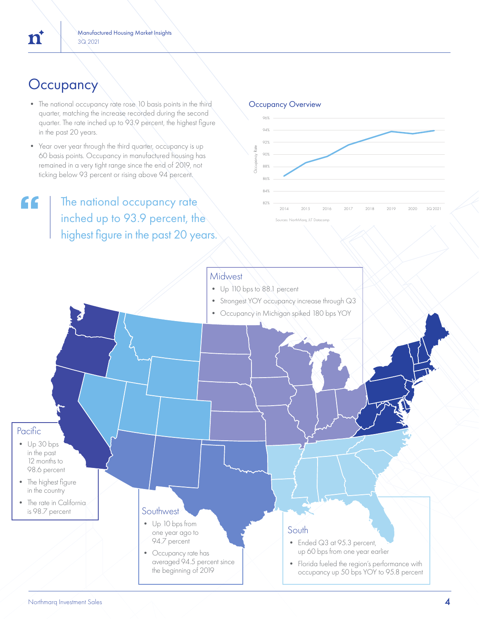# **Occupancy**

- The national occupancy rate rose 10 basis points in the third quarter, matching the increase recorded during the second quarter. The rate inched up to 93.9 percent, the highest figure in the past 20 years.
- Year over year through the third quarter, occupancy is up 60 basis points. Occupancy in manufactured housing has remained in a very tight range since the end of 2019, not ticking below 93 percent or rising above 94 percent.

# The national occupancy rate inched up to 93.9 percent, the highest figure in the past 20 years.



# **Midwest**

- Up 110 bps to 88.1 percent
- Strongest YOY occupancy increase through Q3
- Occupancy in Michigan spiked 180 bps YOY

# Pacific

- Up 30 bps in the past 12 months to 98.6 percent
- The highest figure in the country
- The rate in California is 98.7 percent

## **Southwest**

- Up 10 bps from one year ago to 94.7 percent
- Occupancy rate has averaged 94.5 percent since the beginning of 2019

### South

- Ended Q3 at 95.3 percent, up 60 bps from one year earlier
- Florida fueled the region's performance with occupancy up 50 bps YOY to 95.8 percent

"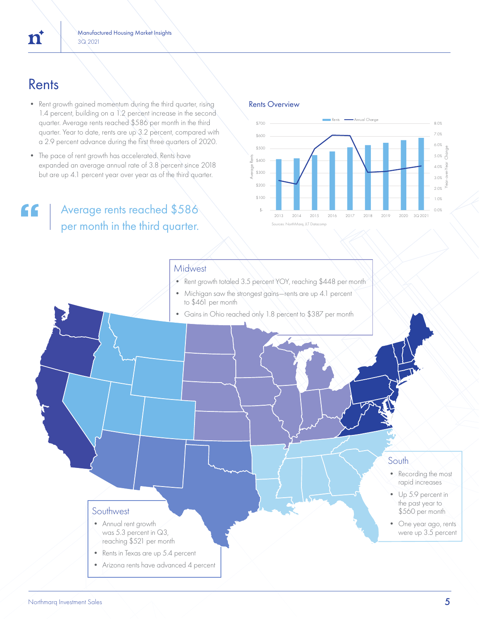- Rent growth gained momentum during the third quarter, rising 1.4 percent, building on a 1.2 percent increase in the second quarter. Average rents reached \$586 per month in the third quarter. Year to date, rents are up 3.2 percent, compared with a 2.9 percent advance during the first three quarters of 2020.
- The pace of rent growth has accelerated. Rents have expanded an average annual rate of 3.8 percent since 2018 but are up 4.1 percent year over year as of the third quarter.

# Average rents reached \$586 per month in the third quarter.

Rents Overview



# **Midwest**

- Rent growth totaled 3.5 percent YOY, reaching \$448 per month
- Michigan saw the strongest gains—rents are up 4.1 percent to \$461 per month
- Gains in Ohio reached only 1.8 percent to \$387 per month

# South

- Recording the most rapid increases
- Up 5.9 percent in the past year to \$560 per month
- One year ago, rents were up 3.5 percent

## **Southwest**

- Annual rent growth was 5.3 percent in Q3, reaching \$521 per month
- Rents in Texas are up 5.4 percent
- Arizona rents have advanced 4 percent

 $\mathbf{n}^*$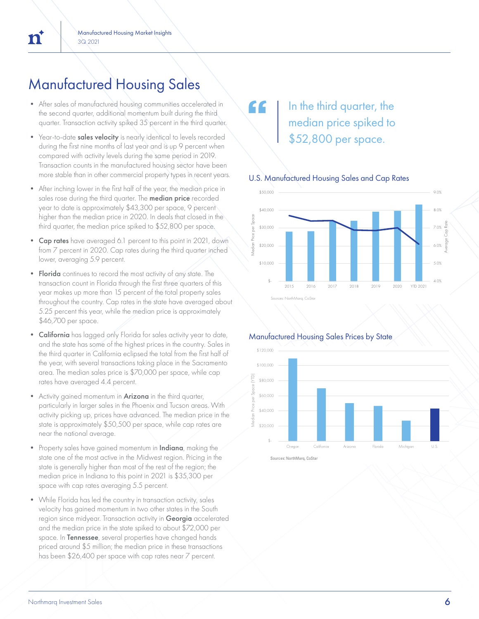# Manufactured Housing Sales

- After sales of manufactured housing communities accelerated in the second quarter, additional momentum built during the third quarter. Transaction activity spiked 35 percent in the third quarter.
- Year-to-date sales velocity is nearly identical to levels recorded during the first nine months of last year and is up 9 percent when compared with activity levels during the same period in 2019. Transaction counts in the manufactured housing sector have been more stable than in other commercial property types in recent years.
- After inching lower in the first half of the year, the median price in sales rose during the third quarter. The **median price** recorded year to date is approximately \$43,300 per space, 9 percent higher than the median price in 2020. In deals that closed in the third quarter, the median price spiked to \$52,800 per space.
- Cap rates have averaged 6.1 percent to this point in 2021, down from 7 percent in 2020. Cap rates during the third quarter inched lower, averaging 5.9 percent.
- Florida continues to record the most activity of any state. The transaction count in Florida through the first three quarters of this year makes up more than 15 percent of the total property sales throughout the country. Cap rates in the state have averaged about 5.25 percent this year, while the median price is approximately \$46,700 per space.
- California has lagged only Florida for sales activity year to date, and the state has some of the highest prices in the country. Sales in the third quarter in California eclipsed the total from the first half of the year, with several transactions taking place in the Sacramento area. The median sales price is \$70,000 per space, while cap rates have averaged 4.4 percent.
- Activity gained momentum in **Arizona** in the third quarter, particularly in larger sales in the Phoenix and Tucson areas. With activity picking up, prices have advanced. The median price in the state is approximately \$50,500 per space, while cap rates are near the national average.
- Property sales have gained momentum in Indiana, making the state one of the most active in the Midwest region. Pricing in the state is generally higher than most of the rest of the region; the median price in Indiana to this point in 2021 is \$35,300 per space with cap rates averaging 5.5 percent.
- While Florida has led the country in transaction activity, sales velocity has gained momentum in two other states in the South region since midyear. Transaction activity in Georgia accelerated and the median price in the state spiked to about \$72,000 per space. In Tennessee, several properties have changed hands priced around \$5 million; the median price in these transactions has been \$26,400 per space with cap rates near 7 percent.

# In the third quarter, the median price spiked to \$52,800 per space.

"

## U.S. Manufactured Housing Sales and Cap Rates



## Manufactured Housing Sales Prices by State